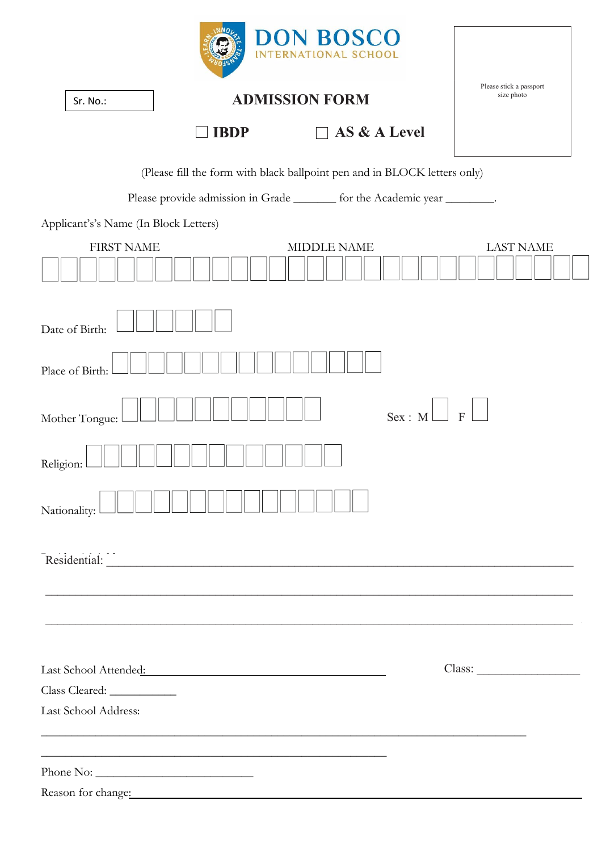|                                       |                                                                                                                                                                                                                                | <b>DON BOSCO</b><br>INTERNATIONAL SCHOOL |        |                                                            |
|---------------------------------------|--------------------------------------------------------------------------------------------------------------------------------------------------------------------------------------------------------------------------------|------------------------------------------|--------|------------------------------------------------------------|
| Sr. No.:                              |                                                                                                                                                                                                                                | <b>ADMISSION FORM</b>                    |        | Please stick a passport<br>size photo                      |
|                                       | <b>IBDP</b>                                                                                                                                                                                                                    | AS & A Level                             |        |                                                            |
|                                       | (Please fill the form with black ballpoint pen and in BLOCK letters only)                                                                                                                                                      |                                          |        |                                                            |
|                                       | Please provide admission in Grade _______ for the Academic year ________.                                                                                                                                                      |                                          |        |                                                            |
| Applicant's's Name (In Block Letters) |                                                                                                                                                                                                                                |                                          |        |                                                            |
| <b>FIRST NAME</b>                     |                                                                                                                                                                                                                                | <b>MIDDLE NAME</b>                       |        | <b>LAST NAME</b>                                           |
| Date of Birth:                        |                                                                                                                                                                                                                                |                                          |        |                                                            |
| Place of Birth:                       |                                                                                                                                                                                                                                |                                          |        |                                                            |
| Mother Tongue:                        |                                                                                                                                                                                                                                |                                          | Sex: M | $\mathbf{F}$                                               |
| Religion:                             |                                                                                                                                                                                                                                |                                          |        |                                                            |
| Nationality:                          |                                                                                                                                                                                                                                |                                          |        |                                                            |
|                                       |                                                                                                                                                                                                                                |                                          |        |                                                            |
|                                       | ,我们也不能在这里的时候,我们也不能在这里的时候,我们也不能会在这里的时候,我们也不能会在这里的时候,我们也不能会在这里的时候,我们也不能会在这里的时候,我们也不                                                                                                                                              |                                          |        |                                                            |
|                                       |                                                                                                                                                                                                                                |                                          |        | <u> 1989 - Johann Stoff, amerikansk politiker (* 1908)</u> |
|                                       | Last School Attended:                                                                                                                                                                                                          |                                          |        |                                                            |
|                                       |                                                                                                                                                                                                                                |                                          |        |                                                            |
| Last School Address:                  |                                                                                                                                                                                                                                |                                          |        |                                                            |
|                                       | <u> 1989 - Jan James James James James James James James James James James James James James James James James J</u><br><u> 1989 - Johann Stoff, amerikansk politiker (d. 1989)</u>                                            |                                          |        |                                                            |
|                                       |                                                                                                                                                                                                                                |                                          |        |                                                            |
|                                       | Reason for change: Note that the set of the set of the set of the set of the set of the set of the set of the set of the set of the set of the set of the set of the set of the set of the set of the set of the set of the se |                                          |        |                                                            |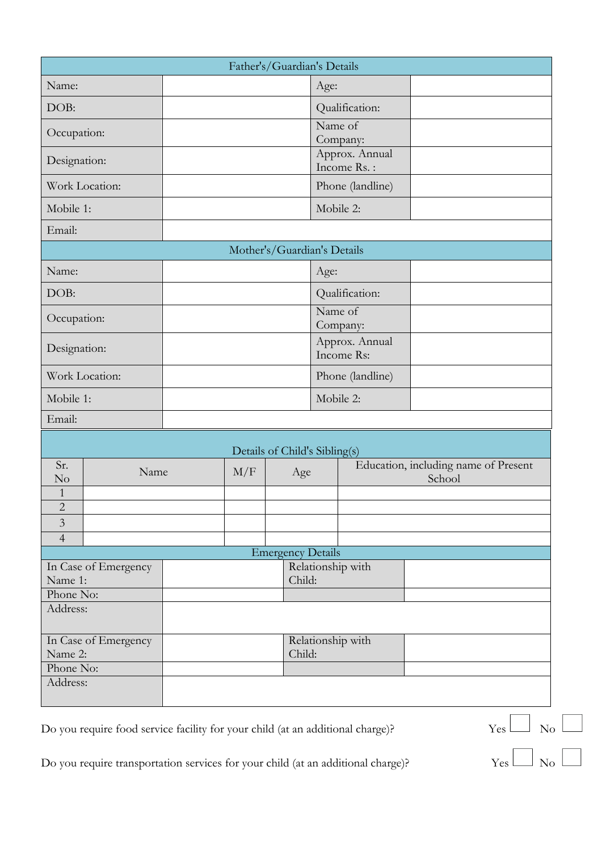| Father's/Guardian's Details |                      |                             |                   |                               |                                         |                  |                                                |
|-----------------------------|----------------------|-----------------------------|-------------------|-------------------------------|-----------------------------------------|------------------|------------------------------------------------|
| Name:                       |                      |                             |                   |                               | Age:                                    |                  |                                                |
| DOB:                        |                      |                             |                   |                               | Qualification:                          |                  |                                                |
| Occupation:                 |                      |                             |                   |                               | Name of<br>Company:                     |                  |                                                |
| Designation:                |                      |                             |                   |                               | Approx. Annual<br>Income Rs.:           |                  |                                                |
| Work Location:              |                      |                             |                   |                               |                                         | Phone (landline) |                                                |
| Mobile 1:                   |                      |                             |                   |                               | Mobile 2:                               |                  |                                                |
| Email:                      |                      |                             |                   |                               |                                         |                  |                                                |
|                             |                      |                             |                   | Mother's/Guardian's Details   |                                         |                  |                                                |
| Name:                       |                      |                             |                   | Age:                          |                                         |                  |                                                |
| DOB:                        |                      |                             |                   |                               | Qualification:                          |                  |                                                |
| Occupation:                 |                      |                             |                   |                               | $\overline{\text{Name}}$ of<br>Company: |                  |                                                |
| Designation:                |                      |                             |                   |                               | Approx. Annual<br>Income Rs:            |                  |                                                |
| Work Location:              |                      |                             |                   |                               | Phone (landline)                        |                  |                                                |
| Mobile 1:                   |                      |                             |                   |                               | Mobile 2:                               |                  |                                                |
| Email:                      |                      |                             |                   |                               |                                         |                  |                                                |
|                             |                      |                             |                   | Details of Child's Sibling(s) |                                         |                  |                                                |
| Sr.<br>No                   | Name                 |                             | M/F               | Age                           |                                         |                  | Education, including name of Present<br>School |
| 1<br>$\overline{c}$         |                      |                             |                   |                               |                                         |                  |                                                |
| 3                           |                      |                             |                   |                               |                                         |                  |                                                |
| $\overline{4}$              |                      |                             |                   |                               |                                         |                  |                                                |
|                             |                      |                             |                   | <b>Emergency Details</b>      |                                         |                  |                                                |
| Name 1:                     | In Case of Emergency |                             | Relationship with |                               |                                         |                  |                                                |
| Phone No:                   |                      | Child:                      |                   |                               |                                         |                  |                                                |
| Address:                    |                      |                             |                   |                               |                                         |                  |                                                |
| Name 2:<br>Phone No:        | In Case of Emergency | Relationship with<br>Child: |                   |                               |                                         |                  |                                                |
| Address:                    |                      |                             |                   |                               |                                         |                  |                                                |

Do you require food service facility for your child (at an additional charge)?<br>  $Yes \n\begin{array}{ccc}\nYes \n\end{array}\n\begin{array}{ccc}\nXes \n\end{array}\n\begin{array}{ccc}\nXos \n\end{array}\n\begin{array}{ccc}\nXos \n\end{array}\n\begin{array}{ccc}\nXos \n\end{array}\n\begin{array}{ccc}\nXos \n\end{array}\n\begin{array}{ccc}\nXos \n\end{array}\n\end{array}$ Do you require transportation services for your child (at an additional charge)?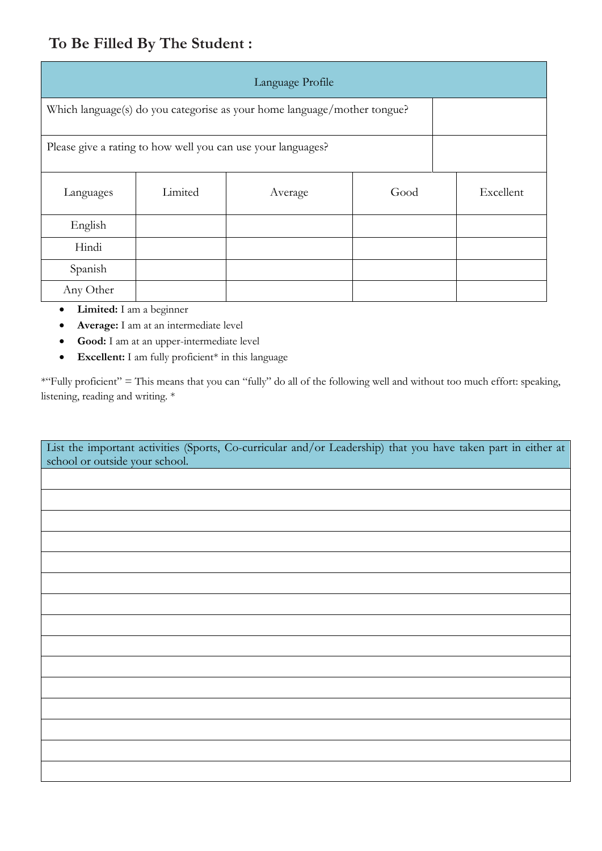## **To Be Filled By The Student :**

| Language Profile                                                         |         |         |      |  |           |  |
|--------------------------------------------------------------------------|---------|---------|------|--|-----------|--|
| Which language(s) do you categorise as your home language/mother tongue? |         |         |      |  |           |  |
| Please give a rating to how well you can use your languages?             |         |         |      |  |           |  |
| Languages                                                                | Limited | Average | Good |  | Excellent |  |
| English                                                                  |         |         |      |  |           |  |
| Hindi                                                                    |         |         |      |  |           |  |
| Spanish                                                                  |         |         |      |  |           |  |
| Any Other                                                                |         |         |      |  |           |  |

- x **Limited:** I am a beginner
- x **Average:** I am at an intermediate level
- x **Good:** I am at an upper-intermediate level
- **•** Excellent: I am fully proficient\* in this language

\*"Fully proficient" = This means that you can "fully" do all of the following well and without too much effort: speaking, listening, reading and writing. \*

| List the important activities (Sports, Co-curricular and/or Leadership) that you have taken part in either at<br>school or outside your school. |
|-------------------------------------------------------------------------------------------------------------------------------------------------|
|                                                                                                                                                 |
|                                                                                                                                                 |
|                                                                                                                                                 |
|                                                                                                                                                 |
|                                                                                                                                                 |
|                                                                                                                                                 |
|                                                                                                                                                 |
|                                                                                                                                                 |
|                                                                                                                                                 |
|                                                                                                                                                 |
|                                                                                                                                                 |
|                                                                                                                                                 |
|                                                                                                                                                 |
|                                                                                                                                                 |
|                                                                                                                                                 |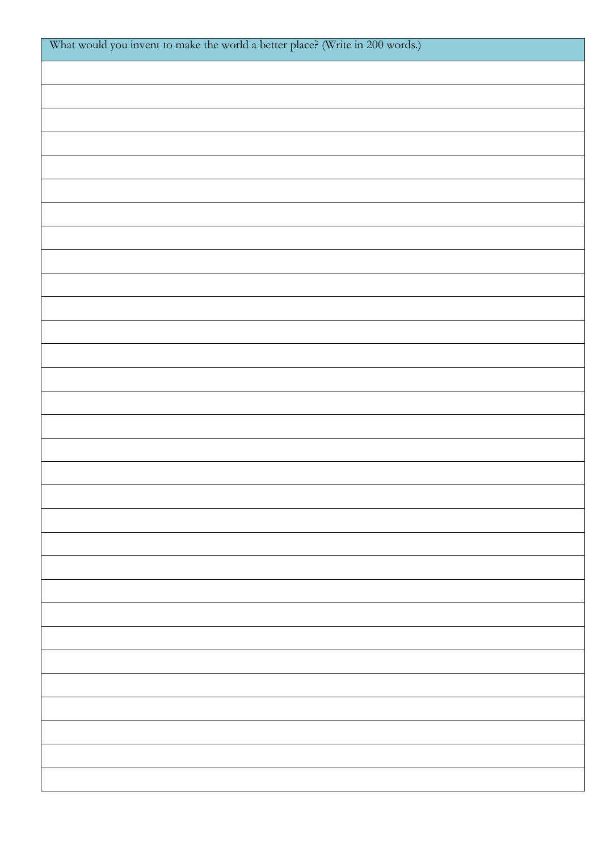| What would you invent to make the world a better place? (Write in 200 words.) |
|-------------------------------------------------------------------------------|
|                                                                               |
|                                                                               |
|                                                                               |
|                                                                               |
|                                                                               |
|                                                                               |
|                                                                               |
|                                                                               |
|                                                                               |
|                                                                               |
|                                                                               |
|                                                                               |
|                                                                               |
|                                                                               |
|                                                                               |
|                                                                               |
|                                                                               |
|                                                                               |
|                                                                               |
|                                                                               |
|                                                                               |
|                                                                               |
|                                                                               |
|                                                                               |
|                                                                               |
|                                                                               |
|                                                                               |
|                                                                               |
|                                                                               |
|                                                                               |
|                                                                               |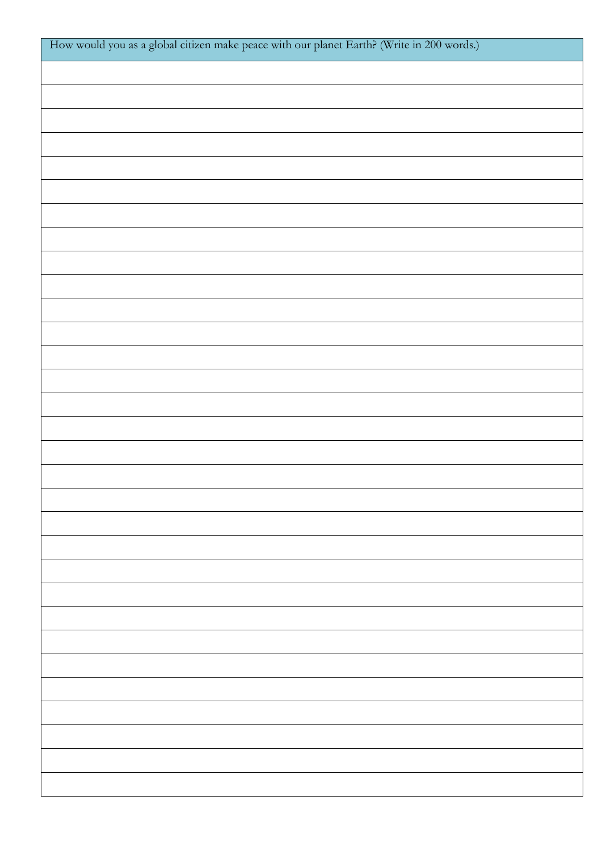| How would you as a global citizen make peace with our planet Earth? (Write in 200 words.) |
|-------------------------------------------------------------------------------------------|
|                                                                                           |
|                                                                                           |
|                                                                                           |
|                                                                                           |
|                                                                                           |
|                                                                                           |
|                                                                                           |
|                                                                                           |
|                                                                                           |
|                                                                                           |
|                                                                                           |
|                                                                                           |
|                                                                                           |
|                                                                                           |
|                                                                                           |
|                                                                                           |
|                                                                                           |
|                                                                                           |
|                                                                                           |
|                                                                                           |
|                                                                                           |
|                                                                                           |
|                                                                                           |
|                                                                                           |
|                                                                                           |
|                                                                                           |
|                                                                                           |
|                                                                                           |
|                                                                                           |
|                                                                                           |
|                                                                                           |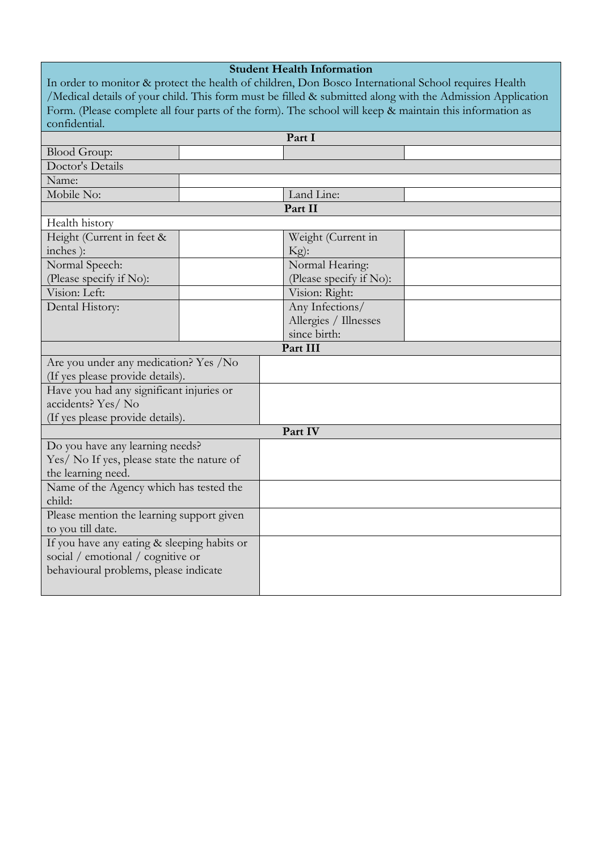| <b>Student Health Information</b>           |                                                                                                           |  |  |  |
|---------------------------------------------|-----------------------------------------------------------------------------------------------------------|--|--|--|
|                                             | In order to monitor & protect the health of children, Don Bosco International School requires Health      |  |  |  |
|                                             | /Medical details of your child. This form must be filled & submitted along with the Admission Application |  |  |  |
|                                             | Form. (Please complete all four parts of the form). The school will keep & maintain this information as   |  |  |  |
| confidential.                               |                                                                                                           |  |  |  |
|                                             | Part I                                                                                                    |  |  |  |
| <b>Blood Group:</b>                         |                                                                                                           |  |  |  |
| Doctor's Details                            |                                                                                                           |  |  |  |
| Name:                                       |                                                                                                           |  |  |  |
| Mobile No:                                  | Land Line:                                                                                                |  |  |  |
|                                             | Part II                                                                                                   |  |  |  |
| Health history                              |                                                                                                           |  |  |  |
| Height (Current in feet &                   | Weight (Current in                                                                                        |  |  |  |
| inches):                                    | $Kg$ :                                                                                                    |  |  |  |
| Normal Speech:                              | Normal Hearing:                                                                                           |  |  |  |
| (Please specify if No):                     | (Please specify if No):                                                                                   |  |  |  |
| Vision: Left:                               | Vision: Right:                                                                                            |  |  |  |
| Dental History:                             | Any Infections/                                                                                           |  |  |  |
|                                             | Allergies / Illnesses                                                                                     |  |  |  |
|                                             | since birth:                                                                                              |  |  |  |
|                                             | Part III                                                                                                  |  |  |  |
| Are you under any medication? Yes /No       |                                                                                                           |  |  |  |
| (If yes please provide details).            |                                                                                                           |  |  |  |
| Have you had any significant injuries or    |                                                                                                           |  |  |  |
| accidents? Yes/ No                          |                                                                                                           |  |  |  |
| (If yes please provide details).            |                                                                                                           |  |  |  |
|                                             | Part IV                                                                                                   |  |  |  |
| Do you have any learning needs?             |                                                                                                           |  |  |  |
| Yes/ No If yes, please state the nature of  |                                                                                                           |  |  |  |
| the learning need.                          |                                                                                                           |  |  |  |
| Name of the Agency which has tested the     |                                                                                                           |  |  |  |
| child:                                      |                                                                                                           |  |  |  |
| Please mention the learning support given   |                                                                                                           |  |  |  |
| to you till date.                           |                                                                                                           |  |  |  |
| If you have any eating & sleeping habits or |                                                                                                           |  |  |  |
| social / emotional / cognitive or           |                                                                                                           |  |  |  |
| behavioural problems, please indicate       |                                                                                                           |  |  |  |
|                                             |                                                                                                           |  |  |  |